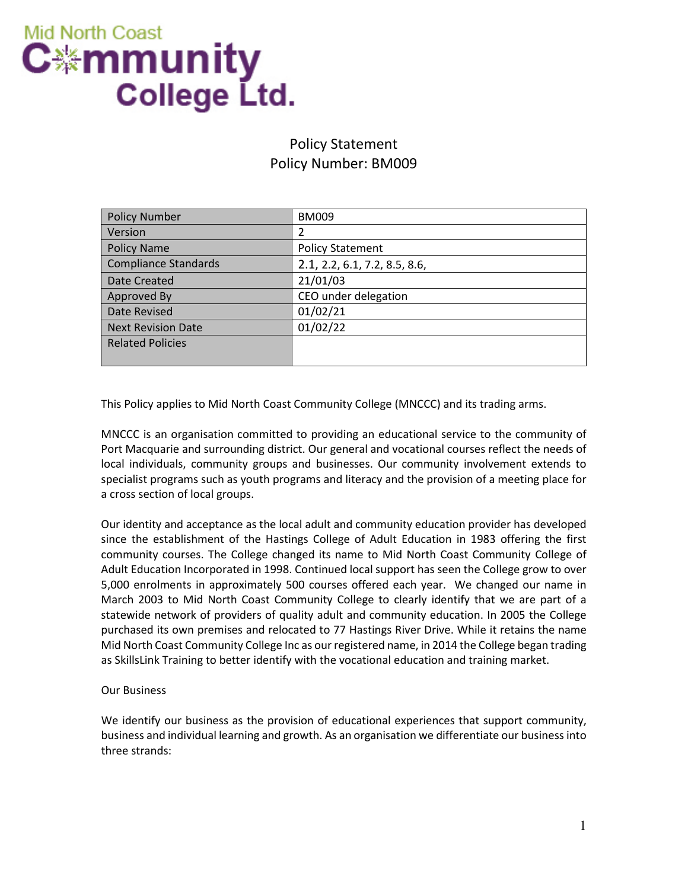

# Policy Statement Policy Number: BM009

| <b>Policy Number</b>        | <b>BM009</b>                  |
|-----------------------------|-------------------------------|
| Version                     | 2                             |
| <b>Policy Name</b>          | <b>Policy Statement</b>       |
| <b>Compliance Standards</b> | 2.1, 2.2, 6.1, 7.2, 8.5, 8.6, |
| Date Created                | 21/01/03                      |
| Approved By                 | CEO under delegation          |
| Date Revised                | 01/02/21                      |
| <b>Next Revision Date</b>   | 01/02/22                      |
| <b>Related Policies</b>     |                               |
|                             |                               |

This Policy applies to Mid North Coast Community College (MNCCC) and its trading arms.

MNCCC is an organisation committed to providing an educational service to the community of Port Macquarie and surrounding district. Our general and vocational courses reflect the needs of local individuals, community groups and businesses. Our community involvement extends to specialist programs such as youth programs and literacy and the provision of a meeting place for a cross section of local groups.

Our identity and acceptance as the local adult and community education provider has developed since the establishment of the Hastings College of Adult Education in 1983 offering the first community courses. The College changed its name to Mid North Coast Community College of Adult Education Incorporated in 1998. Continued local support has seen the College grow to over 5,000 enrolments in approximately 500 courses offered each year. We changed our name in March 2003 to Mid North Coast Community College to clearly identify that we are part of a statewide network of providers of quality adult and community education. In 2005 the College purchased its own premises and relocated to 77 Hastings River Drive. While it retains the name Mid North Coast Community College Inc as our registered name, in 2014 the College began trading as SkillsLink Training to better identify with the vocational education and training market.

#### Our Business

We identify our business as the provision of educational experiences that support community, business and individual learning and growth. As an organisation we differentiate our business into three strands: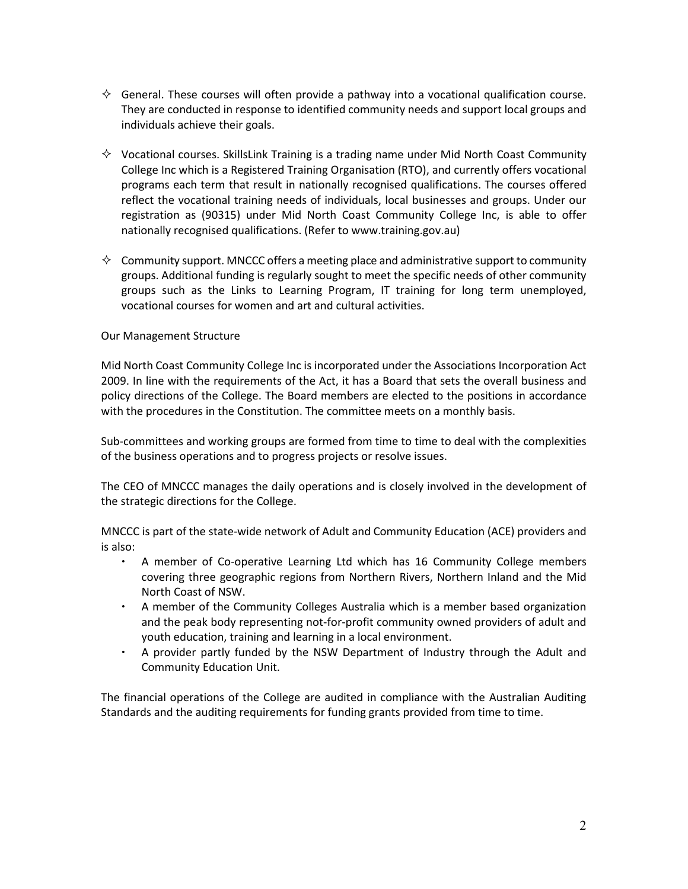- $\Diamond$  General. These courses will often provide a pathway into a vocational qualification course. They are conducted in response to identified community needs and support local groups and individuals achieve their goals.
- $\Diamond$  Vocational courses. SkillsLink Training is a trading name under Mid North Coast Community College Inc which is a Registered Training Organisation (RTO), and currently offers vocational programs each term that result in nationally recognised qualifications. The courses offered reflect the vocational training needs of individuals, local businesses and groups. Under our registration as (90315) under Mid North Coast Community College Inc, is able to offer nationally recognised qualifications. (Refer to www.training.gov.au)
- $\Diamond$  Community support. MNCCC offers a meeting place and administrative support to community groups. Additional funding is regularly sought to meet the specific needs of other community groups such as the Links to Learning Program, IT training for long term unemployed, vocational courses for women and art and cultural activities.

#### Our Management Structure

Mid North Coast Community College Inc is incorporated under the Associations Incorporation Act 2009. In line with the requirements of the Act, it has a Board that sets the overall business and policy directions of the College. The Board members are elected to the positions in accordance with the procedures in the Constitution. The committee meets on a monthly basis.

Sub-committees and working groups are formed from time to time to deal with the complexities of the business operations and to progress projects or resolve issues.

The CEO of MNCCC manages the daily operations and is closely involved in the development of the strategic directions for the College.

MNCCC is part of the state-wide network of Adult and Community Education (ACE) providers and is also:

- ∙ A member of Co-operative Learning Ltd which has 16 Community College members covering three geographic regions from Northern Rivers, Northern Inland and the Mid North Coast of NSW.
- ∙ A member of the Community Colleges Australia which is a member based organization and the peak body representing not-for-profit community owned providers of adult and youth education, training and learning in a local environment.
- ∙ A provider partly funded by the NSW Department of Industry through the Adult and Community Education Unit.

The financial operations of the College are audited in compliance with the Australian Auditing Standards and the auditing requirements for funding grants provided from time to time.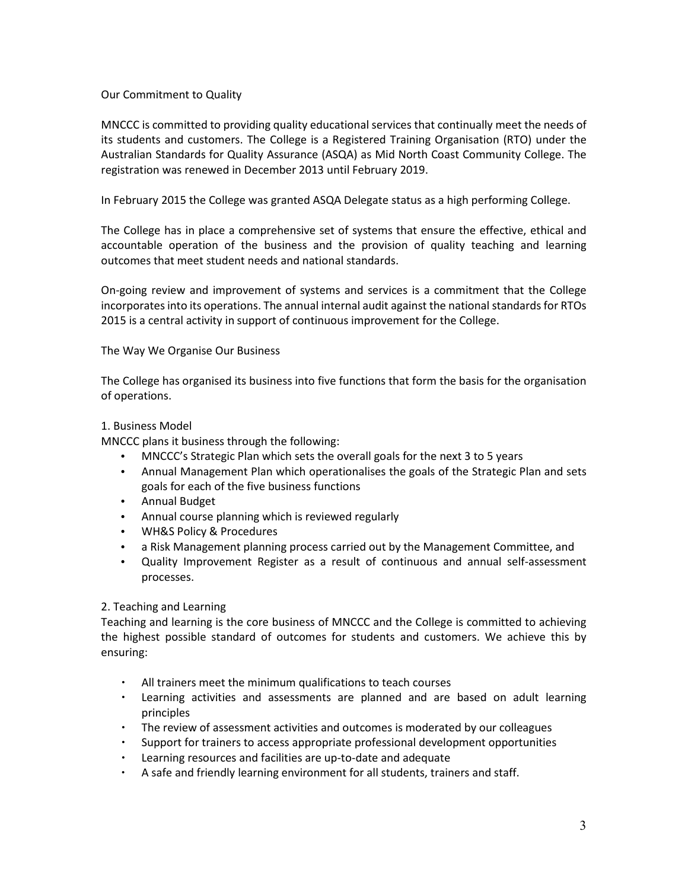### Our Commitment to Quality

MNCCC is committed to providing quality educational services that continually meet the needs of its students and customers. The College is a Registered Training Organisation (RTO) under the Australian Standards for Quality Assurance (ASQA) as Mid North Coast Community College. The registration was renewed in December 2013 until February 2019.

In February 2015 the College was granted ASQA Delegate status as a high performing College.

The College has in place a comprehensive set of systems that ensure the effective, ethical and accountable operation of the business and the provision of quality teaching and learning outcomes that meet student needs and national standards.

On-going review and improvement of systems and services is a commitment that the College incorporates into its operations. The annual internal audit against the national standards for RTOs 2015 is a central activity in support of continuous improvement for the College.

# The Way We Organise Our Business

The College has organised its business into five functions that form the basis for the organisation of operations.

# 1. Business Model

MNCCC plans it business through the following:

- MNCCC's Strategic Plan which sets the overall goals for the next 3 to 5 years
- Annual Management Plan which operationalises the goals of the Strategic Plan and sets goals for each of the five business functions
- Annual Budget
- Annual course planning which is reviewed regularly
- WH&S Policy & Procedures
- a Risk Management planning process carried out by the Management Committee, and
- Quality Improvement Register as a result of continuous and annual self-assessment processes.

#### 2. Teaching and Learning

Teaching and learning is the core business of MNCCC and the College is committed to achieving the highest possible standard of outcomes for students and customers. We achieve this by ensuring:

- ∙ All trainers meet the minimum qualifications to teach courses
- ∙ Learning activities and assessments are planned and are based on adult learning principles
- ∙ The review of assessment activities and outcomes is moderated by our colleagues
- ∙ Support for trainers to access appropriate professional development opportunities
- ∙ Learning resources and facilities are up-to-date and adequate
- ∙ A safe and friendly learning environment for all students, trainers and staff.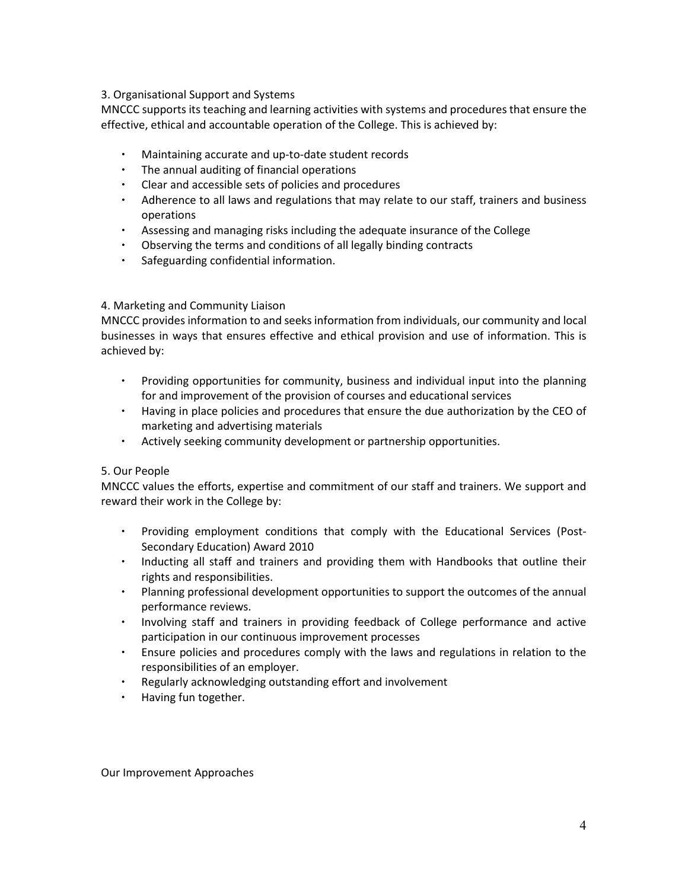# 3. Organisational Support and Systems

MNCCC supports its teaching and learning activities with systems and procedures that ensure the effective, ethical and accountable operation of the College. This is achieved by:

- ∙ Maintaining accurate and up-to-date student records
- ∙ The annual auditing of financial operations
- ∙ Clear and accessible sets of policies and procedures
- ∙ Adherence to all laws and regulations that may relate to our staff, trainers and business operations
- ∙ Assessing and managing risks including the adequate insurance of the College
- ∙ Observing the terms and conditions of all legally binding contracts
- ∙ Safeguarding confidential information.

# 4. Marketing and Community Liaison

MNCCC provides information to and seeks information from individuals, our community and local businesses in ways that ensures effective and ethical provision and use of information. This is achieved by:

- ∙ Providing opportunities for community, business and individual input into the planning for and improvement of the provision of courses and educational services
- ∙ Having in place policies and procedures that ensure the due authorization by the CEO of marketing and advertising materials
- ∙ Actively seeking community development or partnership opportunities.

#### 5. Our People

MNCCC values the efforts, expertise and commitment of our staff and trainers. We support and reward their work in the College by:

- ∙ Providing employment conditions that comply with the Educational Services (Post-Secondary Education) Award 2010
- ∙ Inducting all staff and trainers and providing them with Handbooks that outline their rights and responsibilities.
- ∙ Planning professional development opportunities to support the outcomes of the annual performance reviews.
- ∙ Involving staff and trainers in providing feedback of College performance and active participation in our continuous improvement processes
- ∙ Ensure policies and procedures comply with the laws and regulations in relation to the responsibilities of an employer.
- ∙ Regularly acknowledging outstanding effort and involvement
- ∙ Having fun together.

Our Improvement Approaches